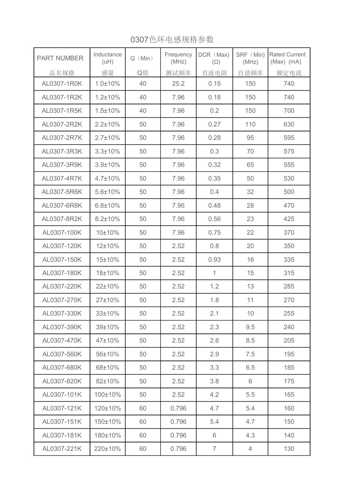| <b>PART NUMBER</b> | Inductance<br>(uH) | $Q$ (Min) | Frequency<br>(MHz) | DCR (Max)<br>$(\Omega)$ | SRF (Min)<br>(MHz) | <b>Rated Current</b><br>$(Max)$ (mA) |
|--------------------|--------------------|-----------|--------------------|-------------------------|--------------------|--------------------------------------|
| 品名规格               | 感量                 | Q值        | 测试频率               | 直流电阻                    | 自谐频率               | 额定电流                                 |
| AL0307-1R0K        | $1.0 \pm 10\%$     | 40        | 25.2               | 0.15                    | 150                | 740                                  |
| AL0307-1R2K        | $1.2 \pm 10\%$     | 40        | 7.96               | 0.18                    | 150                | 740                                  |
| AL0307-1R5K        | $1.5 \pm 10\%$     | 40        | 7.96               | 0.2                     | 150                | 700                                  |
| AL0307-2R2K        | $2.2 \pm 10\%$     | 50        | 7.96               | 0.27                    | 110                | 630                                  |
| AL0307-2R7K        | $2.7 \pm 10\%$     | 50        | 7.96               | 0.28                    | 95                 | 595                                  |
| AL0307-3R3K        | $3.3 \pm 10\%$     | 50        | 7.96               | 0.3                     | 70                 | 575                                  |
| AL0307-3R9K        | $3.9 \pm 10\%$     | 50        | 7.96               | 0.32                    | 65                 | 555                                  |
| AL0307-4R7K        | $4.7 \pm 10\%$     | 50        | 7.96               | 0.35                    | 50                 | 530                                  |
| AL0307-5R6K        | $5.6 \pm 10\%$     | 50        | 7.96               | 0.4                     | 32                 | 500                                  |
| AL0307-6R8K        | $6.8 \pm 10\%$     | 50        | 7.96               | 0.48                    | 28                 | 470                                  |
| AL0307-8R2K        | $8.2 \pm 10\%$     | 50        | 7.96               | 0.56                    | 23                 | 425                                  |
| AL0307-100K        | 10±10%             | 50        | 7.96               | 0.75                    | 22                 | 370                                  |
| AL0307-120K        | 12±10%             | 50        | 2.52               | 0.8                     | 20                 | 350                                  |
| AL0307-150K        | 15±10%             | 50        | 2.52               | 0.93                    | 16                 | 335                                  |
| AL0307-180K        | 18±10%             | 50        | 2.52               | $\mathbf{1}$            | 15                 | 315                                  |
| AL0307-220K        | 22±10%             | 50        | 2.52               | 1.2                     | 13                 | 285                                  |
| AL0307-270K        | 27±10%             | 50        | 2.52               | 1.8                     | 11                 | 270                                  |
| AL0307-330K        | 33±10%             | 50        | 2.52               | 2.1                     | 10                 | 255                                  |
| AL0307-390K        | 39±10%             | 50        | 2.52               | 2.3                     | 9.5                | 240                                  |
| AL0307-470K        | 47±10%             | 50        | 2.52               | 2.6                     | 8.5                | 205                                  |
| AL0307-560K        | 56±10%             | 50        | 2.52               | 2.9                     | 7.5                | 195                                  |
| AL0307-680K        | 68±10%             | 50        | 2.52               | 3.3                     | 6.5                | 185                                  |
| AL0307-820K        | 82±10%             | 50        | 2.52               | 3.8                     | 6                  | 175                                  |
| AL0307-101K        | 100±10%            | 50        | 2.52               | 4.2                     | 5.5                | 165                                  |
| AL0307-121K        | 120±10%            | 60        | 0.796              | 4.7                     | 5.4                | 160                                  |
| AL0307-151K        | 150±10%            | 60        | 0.796              | 5.4                     | 4.7                | 150                                  |
| AL0307-181K        | 180±10%            | 60        | 0.796              | 6                       | 4.3                | 140                                  |
| AL0307-221K        | 220±10%            | 60        | 0.796              | $\overline{7}$          | 4                  | 130                                  |

0307色环电感规格参数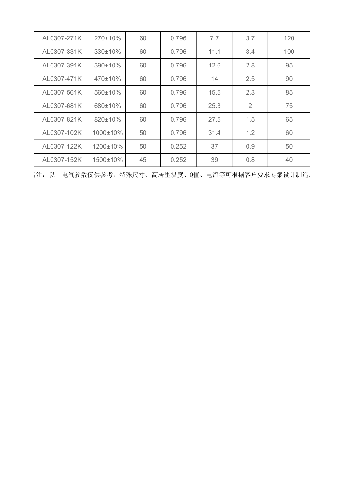| AL0307-271K | 270±10%  | 60 | 0.796 | 7.7  | 3.7            | 120 |
|-------------|----------|----|-------|------|----------------|-----|
| AL0307-331K | 330±10%  | 60 | 0.796 | 11.1 | 3.4            | 100 |
| AL0307-391K | 390±10%  | 60 | 0.796 | 12.6 | 2.8            | 95  |
| AL0307-471K | 470±10%  | 60 | 0.796 | 14   | 2.5            | 90  |
| AL0307-561K | 560±10%  | 60 | 0.796 | 15.5 | 2.3            | 85  |
| AL0307-681K | 680±10%  | 60 | 0.796 | 25.3 | $\overline{2}$ | 75  |
| AL0307-821K | 820±10%  | 60 | 0.796 | 27.5 | 1.5            | 65  |
| AL0307-102K | 1000±10% | 50 | 0.796 | 31.4 | 1.2            | 60  |
| AL0307-122K | 1200±10% | 50 | 0.252 | 37   | 0.9            | 50  |
| AL0307-152K | 1500±10% | 45 | 0.252 | 39   | 0.8            | 40  |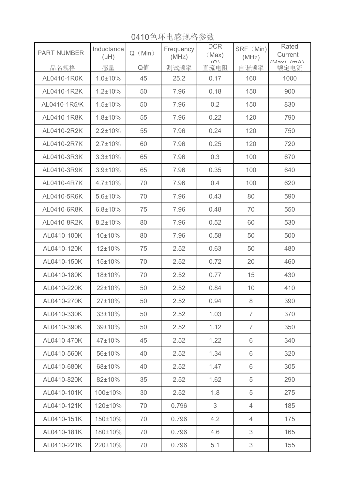PART NUMBER | Inductance  $Q(Min)$ **Frequency** (MHz) **DCR** (Max) (∩)<br>直流电阻 SRF (Min) (MHz) Rated **Current** 品名规格 感量 Q值 测试频率 直流电阻 自谐频率 额定电流 AL0410-1R0K 1.0±10% 45 25.2 0.17 160 1000 AL0410-1R2K 1.2±10% 50 7.96 0.18 150 900 AL0410-1R5/K 1.5±10% 50 7.96 0.2 150 830 AL0410-1R8K 1.8±10% 55 7.96 0.22 120 790 AL0410-2R2K 2.2±10% 55 7.96 0.24 120 750 AL0410-2R7K 2.7±10% 60 7.96 0.25 120 720 AL0410-3R3K 3.3±10% 65 7.96 0.3 100 670 AL0410-3R9K 3.9±10% 65 7.96 0.35 100 640 AL0410-4R7K | 4.7±10% | 70 | 7.96 | 0.4 | 100 | 620 AL0410-5R6K 5.6±10% 70 7.96 0.43 80 590 AL0410-6R8K 6.8±10% 75 7.96 0.48 70 550 AL0410-8R2K 8.2±10% 80 7.96 0.52 60 530 AL0410-100K 10±10% 80 7.96 0.58 500 500 AL0410-120K 12±10% 75 2.52 0.63 50 480 AL0410-150K 15±10% 70 2.52 0.72 20 460 AL0410-180K | 18±10% | 70 | 2.52 | 0.77 | 15 | 430 AL0410-220K 22±10% 50 2.52 0.84 10 410 AL0410-270K 27±10% 50 4 2.52 0.94 8 390 AL0410-330K 33±10% 50 7 370 AL0410-390K 39±10% 50 2.52 1.12 7 350 AL0410-470K 47±10% 45 2.52 1.22 6 340 AL0410-560K 56±10% 40 2.52 1.34 6 320 AL0410-680K 68±10% 40 2.52 1.47 6 305 AL0410-820K 82±10% 35 2.52 1.62 5 290 AL0410-101K 100±10% 30 2.52 1.8 5 275 AL0410-121K 120±10% 70 0.796 3 4 185 AL0410-151K 150±10% 70 0.796 4.2 4 175 AL0410-181K 180±10% 70 0.796 4.6 3 165 AL0410-221K 220±10% 70 0.796 5.1 3 155

0410色环电感规格参数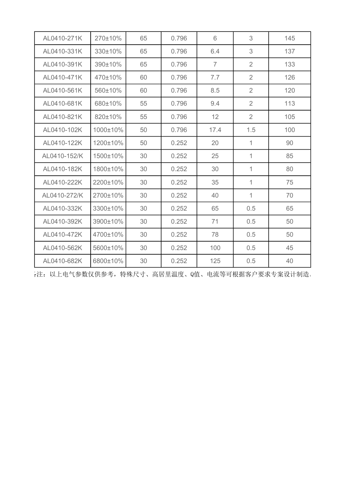| AL0410-271K  | 270±10%  | 65 | 0.796 | 6              | 3              | 145 |
|--------------|----------|----|-------|----------------|----------------|-----|
| AL0410-331K  | 330±10%  | 65 | 0.796 | 6.4            | 3              | 137 |
| AL0410-391K  | 390±10%  | 65 | 0.796 | $\overline{7}$ | 2              | 133 |
| AL0410-471K  | 470±10%  | 60 | 0.796 | 7.7            | 2              | 126 |
| AL0410-561K  | 560±10%  | 60 | 0.796 | 8.5            | 2              | 120 |
| AL0410-681K  | 680±10%  | 55 | 0.796 | 9.4            | $\overline{2}$ | 113 |
| AL0410-821K  | 820±10%  | 55 | 0.796 | 12             | 2              | 105 |
| AL0410-102K  | 1000±10% | 50 | 0.796 | 17.4           | 1.5            | 100 |
| AL0410-122K  | 1200±10% | 50 | 0.252 | 20             | 1              | 90  |
| AL0410-152/K | 1500±10% | 30 | 0.252 | 25             | 1              | 85  |
| AL0410-182K  | 1800±10% | 30 | 0.252 | 30             | 1              | 80  |
| AL0410-222K  | 2200±10% | 30 | 0.252 | 35             | $\mathbf{1}$   | 75  |
| AL0410-272/K | 2700±10% | 30 | 0.252 | 40             | $\mathbf{1}$   | 70  |
| AL0410-332K  | 3300±10% | 30 | 0.252 | 65             | 0.5            | 65  |
| AL0410-392K  | 3900±10% | 30 | 0.252 | 71             | 0.5            | 50  |
| AL0410-472K  | 4700±10% | 30 | 0.252 | 78             | 0.5            | 50  |
| AL0410-562K  | 5600±10% | 30 | 0.252 | 100            | 0.5            | 45  |
| AL0410-682K  | 6800±10% | 30 | 0.252 | 125            | 0.5            | 40  |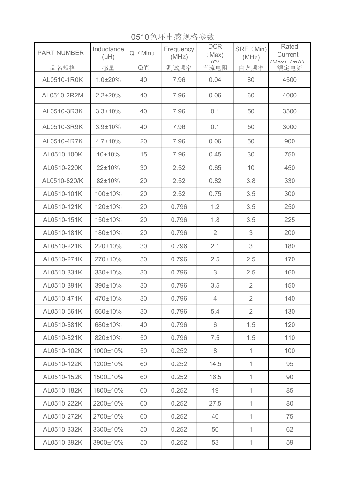0510色环电感规格参数

| <b>PART NUMBER</b> | Inductance<br>(uH) | $Q$ (Min) | Frequency<br>(MHz) | <b>DCR</b><br>(Max) | SRF (Min)<br>(MHz) | Rated<br>Current          |
|--------------------|--------------------|-----------|--------------------|---------------------|--------------------|---------------------------|
| 品名规格               | 感量                 | Q值        | 测试频率               | (<br>直流电阻           | 自谐频率               | $(May) (m\Delta)$<br>额定电流 |
| AL0510-1R0K        | 1.0±20%            | 40        | 7.96               | 0.04                | 80                 | 4500                      |
| AL0510-2R2M        | $2.2 \pm 20\%$     | 40        | 7.96               | 0.06                | 60                 | 4000                      |
| AL0510-3R3K        | $3.3 \pm 10\%$     | 40        | 7.96               | 0.1                 | 50                 | 3500                      |
| AL0510-3R9K        | $3.9 \pm 10\%$     | 40        | 7.96               | 0.1                 | 50                 | 3000                      |
| AL0510-4R7K        | $4.7 \pm 10\%$     | 20        | 7.96               | 0.06                | 50                 | 900                       |
| AL0510-100K        | 10±10%             | 15        | 7.96               | 0.45                | 30                 | 750                       |
| AL0510-220K        | 22±10%             | 30        | 2.52               | 0.65                | 10                 | 450                       |
| AL0510-820/K       | 82±10%             | 20        | 2.52               | 0.82                | 3.8                | 330                       |
| AL0510-101K        | 100±10%            | 20        | 2.52               | 0.75                | 3.5                | 300                       |
| AL0510-121K        | 120±10%            | 20        | 0.796              | 1.2                 | 3.5                | 250                       |
| AL0510-151K        | 150±10%            | 20        | 0.796              | 1.8                 | 3.5                | 225                       |
| AL0510-181K        | 180±10%            | 20        | 0.796              | $\overline{2}$      | 3                  | 200                       |
| AL0510-221K        | 220±10%            | 30        | 0.796              | 2.1                 | 3                  | 180                       |
| AL0510-271K        | 270±10%            | 30        | 0.796              | 2.5                 | 2.5                | 170                       |
| AL0510-331K        | 330±10%            | 30        | 0.796              | 3                   | 2.5                | 160                       |
| AL0510-391K        | 390±10%            | 30        | 0.796              | 3.5                 | $\overline{2}$     | 150                       |
| AL0510-471K        | 470±10%            | 30        | 0.796              | $\overline{4}$      | $\overline{2}$     | 140                       |
| AL0510-561K        | 560±10%            | 30        | 0.796              | 5.4                 | 2                  | 130                       |
| AL0510-681K        | 680±10%            | 40        | 0.796              | 6                   | 1.5                | 120                       |
| AL0510-821K        | 820±10%            | 50        | 0.796              | 7.5                 | 1.5                | 110                       |
| AL0510-102K        | 1000±10%           | 50        | 0.252              | 8                   | 1                  | 100                       |
| AL0510-122K        | 1200±10%           | 60        | 0.252              | 14.5                | $\mathbf 1$        | 95                        |
| AL0510-152K        | 1500±10%           | 60        | 0.252              | 16.5                | 1                  | 90                        |
| AL0510-182K        | 1800±10%           | 60        | 0.252              | 19                  | 1                  | 85                        |
| AL0510-222K        | 2200±10%           | 60        | 0.252              | 27.5                | 1                  | 80                        |
| AL0510-272K        | 2700±10%           | 60        | 0.252              | 40                  | $\mathbf 1$        | 75                        |
| AL0510-332K        | 3300±10%           | 50        | 0.252              | 50                  | 1                  | 62                        |
| AL0510-392K        | 3900±10%           | 50        | 0.252              | 53                  | 1                  | 59                        |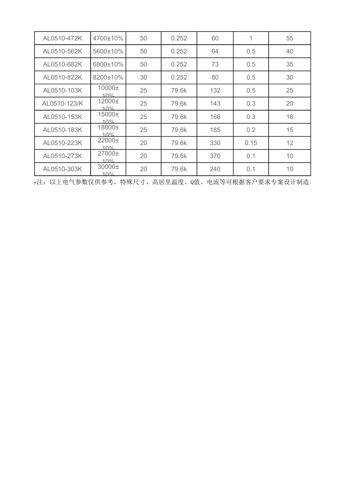| AL0510-472K  | 4700±10%              | 50 | 0.252 | 60  | 1             | 55 |
|--------------|-----------------------|----|-------|-----|---------------|----|
| AL0510-562K  | 5600±10%              | 50 | 0.252 | 64  | 0.5           | 40 |
| AL0510-682K  | 6800±10%              | 50 | 0.252 | 73  | $0.5^{\circ}$ | 35 |
| AL0510-822K  | 8200±10%              | 30 | 0.252 | 80  | $0.5^{\circ}$ | 30 |
| AL0510-103K  | $10000 \pm$<br>10%    | 25 | 79.6k | 132 | 0.5           | 25 |
| AL0510-123/K | $12000 \pm$<br>$10\%$ | 25 | 79.6k | 143 | 0.3           | 20 |
| AL0510-153K  | $15000 \pm$<br>$10\%$ | 25 | 79.6k | 166 | 0.3           | 18 |
| AL0510-183K  | 18000±<br>$10\%$      | 25 | 79.6k | 185 | 0.2           | 15 |
| AL0510-223K  | $22000 \pm$<br>10%    | 20 | 79.6k | 330 | 0.15          | 12 |
| AL0510-273K  | $27000 \pm$<br>$10\%$ | 20 | 79.6k | 370 | 0.1           | 10 |
| AL0510-303K  | 30000±<br>10%         | 20 | 79.6k | 240 | 0.1           | 10 |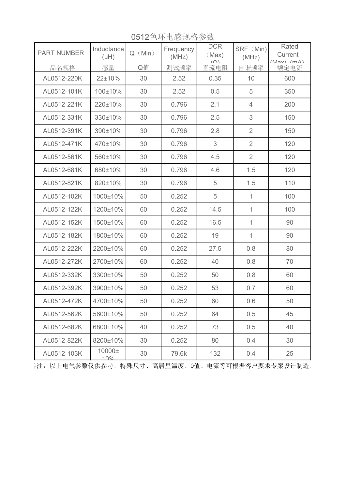| <b>PART NUMBER</b> | Inductance<br>(uH) | $Q$ (Min) | Frequency<br>(MHz) | <b>DCR</b><br>(Max)<br>(0) | SRF (Min)<br>(MHz) | Rated<br>Current<br>$(May)$ $(m\Delta)$ |
|--------------------|--------------------|-----------|--------------------|----------------------------|--------------------|-----------------------------------------|
| 品名规格               | 感量                 | Q值        | 测试频率               | 直流电阻                       | 自谐频率               | 额定电流                                    |
| AL0512-220K        | 22±10%             | 30        | 2.52               | 0.35                       | 10                 | 600                                     |
| AL0512-101K        | 100±10%            | 30        | 2.52               | 0.5                        | 5                  | 350                                     |
| AL0512-221K        | 220±10%            | 30        | 0.796              | 2.1                        | $\overline{4}$     | 200                                     |
| AL0512-331K        | 330±10%            | 30        | 0.796              | 2.5                        | 3                  | 150                                     |
| AL0512-391K        | 390±10%            | 30        | 0.796              | 2.8                        | $\overline{2}$     | 150                                     |
| AL0512-471K        | 470±10%            | 30        | 0.796              | 3                          | $\overline{2}$     | 120                                     |
| AL0512-561K        | 560±10%            | 30        | 0.796              | 4.5                        | $\overline{2}$     | 120                                     |
| AL0512-681K        | 680±10%            | 30        | 0.796              | 4.6                        | 1.5                | 120                                     |
| AL0512-821K        | 820±10%            | 30        | 0.796              | 5                          | 1.5                | 110                                     |
| AL0512-102K        | 1000±10%           | 50        | 0.252              | 5                          | $\mathbf{1}$       | 100                                     |
| AL0512-122K        | 1200±10%           | 60        | 0.252              | 14.5                       | $\mathbf{1}$       | 100                                     |
| AL0512-152K        | 1500±10%           | 60        | 0.252              | 16.5                       | $\mathbf{1}$       | 90                                      |
| AL0512-182K        | 1800±10%           | 60        | 0.252              | 19                         | $\mathbf{1}$       | 90                                      |
| AL0512-222K        | 2200±10%           | 60        | 0.252              | 27.5                       | 0.8                | 80                                      |
| AL0512-272K        | 2700±10%           | 60        | 0.252              | 40                         | 0.8                | 70                                      |
| AL0512-332K        | 3300±10%           | 50        | 0.252              | 50                         | 0.8                | 60                                      |
| AL0512-392K        | 3900±10%           | 50        | 0.252              | 53                         | 0.7                | 60                                      |
| AL0512-472K        | 4700±10%           | 50        | 0.252              | 60                         | 0.6                | 50                                      |
| AL0512-562K        | 5600±10%           | 50        | 0.252              | 64                         | 0.5                | 45                                      |
| AL0512-682K        | 6800±10%           | 40        | 0.252              | 73                         | 0.5                | 40                                      |
| AL0512-822K        | 8200±10%           | 30        | 0.252              | 80                         | 0.4                | 30                                      |
| AL0512-103K        | 10000±<br>10%      | 30        | 79.6k              | 132                        | 0.4                | 25                                      |

0512色环电感规格参数